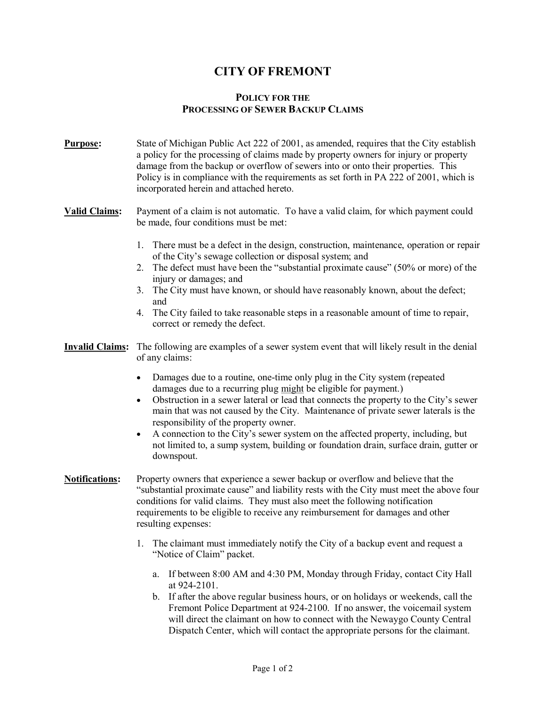## **CITY OF FREMONT**

#### **POLICY FOR THE PROCESSING OF SEWER BACKUP CLAIMS**

**Purpose:** State of Michigan Public Act 222 of 2001, as amended, requires that the City establish a policy for the processing of claims made by property owners for injury or property damage from the backup or overflow of sewers into or onto their properties. This Policy is in compliance with the requirements as set forth in PA 222 of 2001, which is incorporated herein and attached hereto.

#### **Valid Claims:** Payment of a claim is not automatic. To have a valid claim, for which payment could be made, four conditions must be met:

- 1. There must be a defect in the design, construction, maintenance, operation or repair of the City's sewage collection or disposal system; and
- 2. The defect must have been the "substantial proximate cause" (50% or more) of the injury or damages; and
- 3. The City must have known, or should have reasonably known, about the defect; and
- 4. The City failed to take reasonable steps in a reasonable amount of time to repair, correct or remedy the defect.
- **Invalid Claims:** The following are examples of a sewer system event that will likely result in the denial of any claims:
	- Damages due to a routine, one-time only plug in the City system (repeated damages due to a recurring plug might be eligible for payment.)
	- · Obstruction in a sewer lateral or lead that connects the property to the City's sewer main that was not caused by the City. Maintenance of private sewer laterals is the responsibility of the property owner.
	- · A connection to the City's sewer system on the affected property, including, but not limited to, a sump system, building or foundation drain, surface drain, gutter or downspout.
- **Notifications:** Property owners that experience a sewer backup or overflow and believe that the "substantial proximate cause" and liability rests with the City must meet the above four conditions for valid claims. They must also meet the following notification requirements to be eligible to receive any reimbursement for damages and other resulting expenses:
	- 1. The claimant must immediately notify the City of a backup event and request a "Notice of Claim" packet.
		- a. If between 8:00 AM and 4:30 PM, Monday through Friday, contact City Hall at 9242101.
		- b. If after the above regular business hours, or on holidays or weekends, call the Fremont Police Department at 924-2100. If no answer, the voicemail system will direct the claimant on how to connect with the Newaygo County Central Dispatch Center, which will contact the appropriate persons for the claimant.